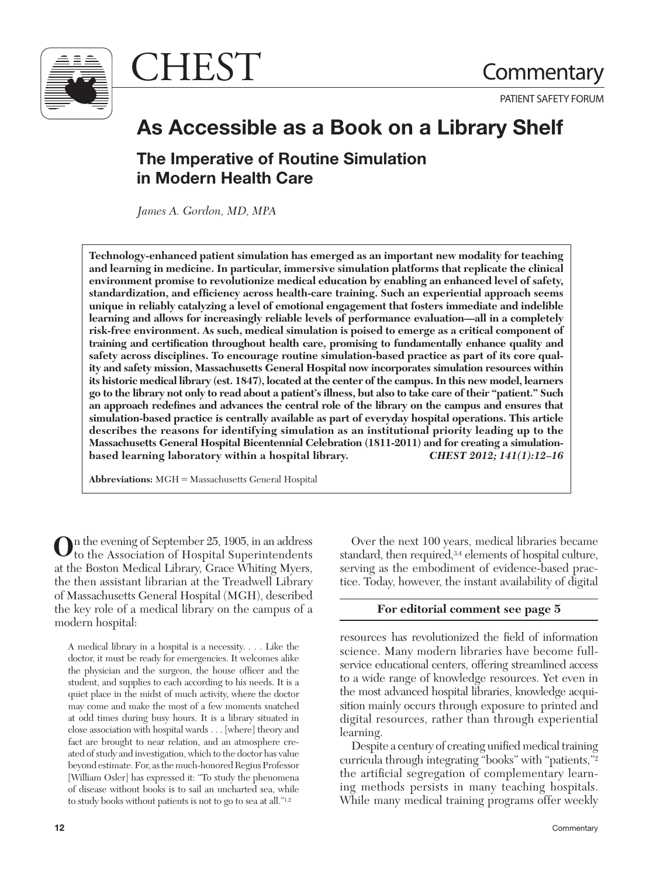

CHEST Commentary

PATIENT SAFETY FORUM

# **As Accessible as a Book on a Library Shelf**

# **The Imperative of Routine Simulation in Modern Health Care**

*James A. Gordon, MD, MPA* 

**Technology-enhanced patient simulation has emerged as an important new modality for teaching and learning in medicine. In particular, immersive simulation platforms that replicate the clinical environment promise to revolutionize medical education by enabling an enhanced level of safety,**  standardization, and efficiency across health-care training. Such an experiential approach seems **unique in reliably catalyzing a level of emotional engagement that fosters immediate and indelible learning and allows for increasingly reliable levels of performance evaluation—all in a completely risk-free environment. As such, medical simulation is poised to emerge as a critical component of**  training and certification throughout health care, promising to fundamentally enhance quality and **safety across disciplines. To encourage routine simulation-based practice as part of its core quality and safety mission, Massachusetts General Hospital now incorporates simulation resources within its historic medical library (est. 1847), located at the center of the campus. In this new model, learners go to the library not only to read about a patient's illness, but also to take care of their "patient." Such**  an approach redefines and advances the central role of the library on the campus and ensures that **simulation-based practice is centrally available as part of everyday hospital operations. This article describes the reasons for identifying simulation as an institutional priority leading up to the Massachusetts General Hospital Bicentennial Celebration (1811-2011) and for creating a simulationbased learning laboratory within a hospital library.** *CHEST 2012; 141(1):12–16* 

**Abbreviations:** MGH = Massachusetts General Hospital

 **O**n the evening of September 25, 1905, in an address to the Association of Hospital Superintendents at the Boston Medical Library, Grace Whiting Myers, the then assistant librarian at the Treadwell Library of Massachusetts General Hospital (MGH), described the key role of a medical library on the campus of a modern hospital:

 A medical library in a hospital is a necessity. . . . Like the doctor, it must be ready for emergencies. It welcomes alike the physician and the surgeon, the house officer and the student, and supplies to each according to his needs. It is a quiet place in the midst of much activity, where the doctor may come and make the most of a few moments snatched at odd times during busy hours. It is a library situated in close association with hospital wards . . . [where] theory and fact are brought to near relation, and an atmosphere created of study and investigation, which to the doctor has value beyond estimate. For, as the much-honored Regius Professor [William Osler] has expressed it: "To study the phenomena of disease without books is to sail an uncharted sea, while to study books without patients is not to go to sea at all."1,2

**12** 

 Over the next 100 years, medical libraries became standard, then required, 3,4 elements of hospital culture, serving as the embodiment of evidence-based practice. Today, however, the instant availability of digital

# **For editorial comment see page 5**

resources has revolutionized the field of information science. Many modern libraries have become fullservice educational centers, offering streamlined access to a wide range of knowledge resources. Yet even in the most advanced hospital libraries, knowledge acquisition mainly occurs through exposure to printed and digital resources, rather than through experiential learning.

Despite a century of creating unified medical training curricula through integrating "books" with "patients,"<sup>2</sup> the artificial segregation of complementary learning methods persists in many teaching hospitals. While many medical training programs offer weekly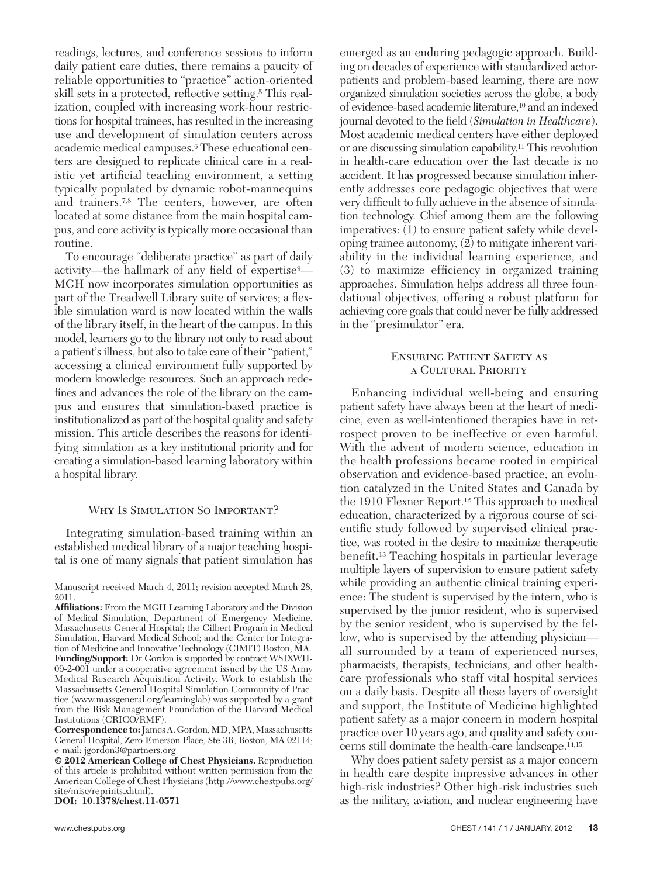readings, lectures, and conference sessions to inform daily patient care duties, there remains a paucity of reliable opportunities to "practice" action-oriented skill sets in a protected, reflective setting.<sup>5</sup> This realization, coupled with increasing work-hour restrictions for hospital trainees, has resulted in the increasing use and development of simulation centers across academic medical campuses. <sup>6</sup> These educational centers are designed to replicate clinical care in a realistic yet artificial teaching environment, a setting typically populated by dynamic robot-mannequins and trainers. 7,8 The centers, however, are often located at some distance from the main hospital campus, and core activity is typically more occasional than routine.

 To encourage "deliberate practice" as part of daily activity—the hallmark of any field of expertise<sup>9</sup>— MGH now incorporates simulation opportunities as part of the Treadwell Library suite of services; a flexible simulation ward is now located within the walls of the library itself, in the heart of the campus. In this model, learners go to the library not only to read about a patient's illness, but also to take care of their "patient," accessing a clinical environment fully supported by modern knowledge resources. Such an approach redefines and advances the role of the library on the campus and ensures that simulation-based practice is institutionalized as part of the hospital quality and safety mission. This article describes the reasons for identifying simulation as a key institutional priority and for creating a simulation-based learning laboratory within a hospital library.

#### WHY IS SIMULATION SO IMPORTANT?

 Integrating simulation-based training within an established medical library of a major teaching hospital is one of many signals that patient simulation has

**DOI: 10.1378/chest.11-0571** 

emerged as an enduring pedagogic approach. Building on decades of experience with standardized actorpatients and problem-based learning, there are now organized simulation societies across the globe, a body of evidence-based academic literature, 10 and an indexed journal devoted to the field (*Simulation in Healthcare*). Most academic medical centers have either deployed or are discussing simulation capability. 11 This revolution in health-care education over the last decade is no accident. It has progressed because simulation inherently addresses core pedagogic objectives that were very difficult to fully achieve in the absence of simulation technology. Chief among them are the following imperatives: (1) to ensure patient safety while developing trainee autonomy, (2) to mitigate inherent variability in the individual learning experience, and  $(3)$  to maximize efficiency in organized training approaches. Simulation helps address all three foundational objectives, offering a robust platform for achieving core goals that could never be fully addressed in the "presimulator" era.

## Ensuring Patient Safety as a Cultural Priority

 Enhancing individual well-being and ensuring patient safety have always been at the heart of medicine, even as well-intentioned therapies have in retrospect proven to be ineffective or even harmful. With the advent of modern science, education in the health professions became rooted in empirical observation and evidence-based practice, an evolution catalyzed in the United States and Canada by the 1910 Flexner Report.<sup>12</sup> This approach to medical education, characterized by a rigorous course of scientific study followed by supervised clinical practice, was rooted in the desire to maximize therapeutic benefit.<sup>13</sup> Teaching hospitals in particular leverage multiple layers of supervision to ensure patient safety while providing an authentic clinical training experience: The student is supervised by the intern, who is supervised by the junior resident, who is supervised by the senior resident, who is supervised by the fellow, who is supervised by the attending physician all surrounded by a team of experienced nurses, pharmacists, therapists, technicians, and other healthcare professionals who staff vital hospital services on a daily basis. Despite all these layers of oversight and support, the Institute of Medicine highlighted patient safety as a major concern in modern hospital practice over 10 years ago, and quality and safety concerns still dominate the health-care landscape. 14,15

 Why does patient safety persist as a major concern in health care despite impressive advances in other high-risk industries? Other high-risk industries such as the military, aviation, and nuclear engineering have

Manuscript received March 4, 2011; revision accepted March 28, 2011.

Affiliations: From the MGH Learning Laboratory and the Division of Medical Simulation, Department of Emergency Medicine, Massachusetts General Hospital; the Gilbert Program in Medical Simulation, Harvard Medical School; and the Center for Integration of Medicine and Innovative Technology (CIMIT) Boston, MA. **Funding/Support:** Dr Gordon is supported by contract W81XWH-09-2-001 under a cooperative agreement issued by the US Army Medical Research Acquisition Activity. Work to establish the Massachusetts General Hospital Simulation Community of Practice (www.massgeneral.org/learninglab) was supported by a grant from the Risk Management Foundation of the Harvard Medical Institutions (CRICO/RMF).

**Correspondence to:** James A. Gordon , MD, MPA, Massachusetts General Hospital, Zero Emerson Place, Ste 3B, Boston, MA 02114; e-mail: [jgordon3@partners.org](mailto:jgordon3@partners.org) 

**<sup>© 2012</sup> American College of Chest Physicians.** Reproduction of this article is prohibited without written permission from the American College of Chest Physicians [\( http://www.chestpubs.org/](http://www.chestpubs.org/site/misc/reprints.xhtml) site/misc/reprints.xhtml).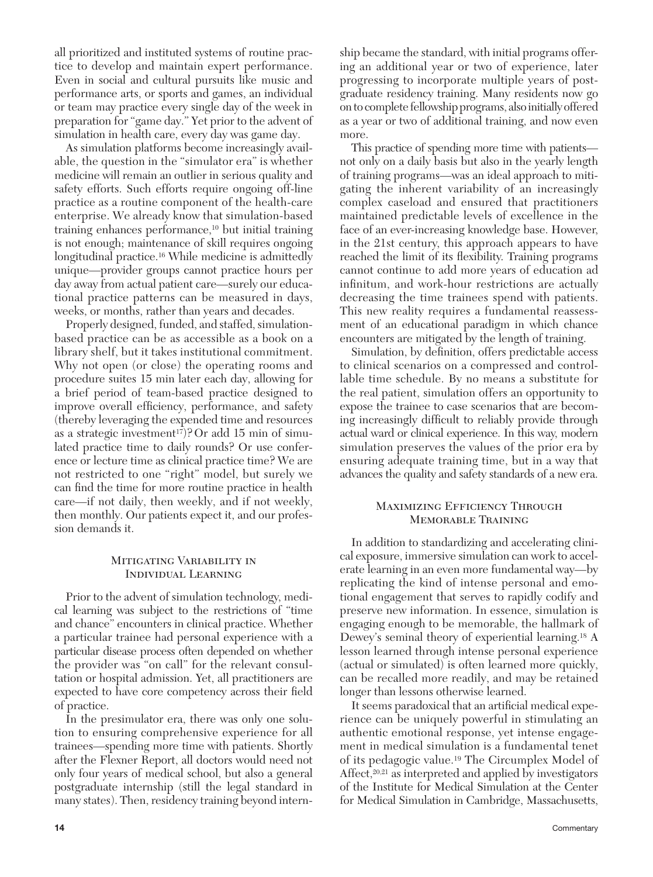all prioritized and instituted systems of routine practice to develop and maintain expert performance. Even in social and cultural pursuits like music and performance arts, or sports and games, an individual or team may practice every single day of the week in preparation for "game day." Yet prior to the advent of simulation in health care, every day was game day.

 As simulation platforms become increasingly available, the question in the "simulator era" is whether medicine will remain an outlier in serious quality and safety efforts. Such efforts require ongoing off-line practice as a routine component of the health-care enterprise. We already know that simulation-based training enhances performance, 10 but initial training is not enough; maintenance of skill requires ongoing longitudinal practice. 16 While medicine is admittedly unique—provider groups cannot practice hours per day away from actual patient care—surely our educational practice patterns can be measured in days, weeks, or months, rather than years and decades.

 Properly designed, funded, and staffed, simulationbased practice can be as accessible as a book on a library shelf, but it takes institutional commitment. Why not open (or close) the operating rooms and procedure suites 15 min later each day, allowing for a brief period of team-based practice designed to improve overall efficiency, performance, and safety (thereby leveraging the expended time and resources as a strategic investment<sup>17</sup>)? Or add 15 min of simulated practice time to daily rounds? Or use conference or lecture time as clinical practice time? We are not restricted to one "right" model, but surely we can find the time for more routine practice in health care—if not daily, then weekly, and if not weekly, then monthly. Our patients expect it, and our profession demands it.

### Mitigating Variability in Individual Learning

 Prior to the advent of simulation technology, medical learning was subject to the restrictions of "time and chance" encounters in clinical practice. Whether a particular trainee had personal experience with a particular disease process often depended on whether the provider was "on call" for the relevant consultation or hospital admission. Yet, all practitioners are expected to have core competency across their field of practice.

 In the presimulator era, there was only one solution to ensuring comprehensive experience for all trainees—spending more time with patients. Shortly after the Flexner Report, all doctors would need not only four years of medical school, but also a general postgraduate internship (still the legal standard in many states). Then, residency training beyond internship became the standard, with initial programs offering an additional year or two of experience, later progressing to incorporate multiple years of postgraduate residency training. Many residents now go on to complete fellowship programs, also initially offered as a year or two of additional training, and now even more.

 This practice of spending more time with patients not only on a daily basis but also in the yearly length of training programs—was an ideal approach to mitigating the inherent variability of an increasingly complex caseload and ensured that practitioners maintained predictable levels of excellence in the face of an ever-increasing knowledge base. However, in the 21st century, this approach appears to have reached the limit of its flexibility. Training programs cannot continue to add more years of education ad infinitum, and work-hour restrictions are actually decreasing the time trainees spend with patients. This new reality requires a fundamental reassessment of an educational paradigm in which chance encounters are mitigated by the length of training.

Simulation, by definition, offers predictable access to clinical scenarios on a compressed and controllable time schedule. By no means a substitute for the real patient, simulation offers an opportunity to expose the trainee to case scenarios that are becoming increasingly difficult to reliably provide through actual ward or clinical experience. In this way, modern simulation preserves the values of the prior era by ensuring adequate training time, but in a way that advances the quality and safety standards of a new era.

# Maximizing Efficiency Through Memorable Training

 In addition to standardizing and accelerating clinical exposure, immersive simulation can work to accelerate learning in an even more fundamental way—by replicating the kind of intense personal and emotional engagement that serves to rapidly codify and preserve new information. In essence, simulation is engaging enough to be memorable, the hallmark of Dewey's seminal theory of experiential learning. 18 A lesson learned through intense personal experience (actual or simulated) is often learned more quickly, can be recalled more readily, and may be retained longer than lessons otherwise learned.

It seems paradoxical that an artificial medical experience can be uniquely powerful in stimulating an authentic emotional response, yet intense engagement in medical simulation is a fundamental tenet of its pedagogic value. 19 The Circumplex Model of Affect,  $20,21$  as interpreted and applied by investigators of the Institute for Medical Simulation at the Center for Medical Simulation in Cambridge, Massachusetts,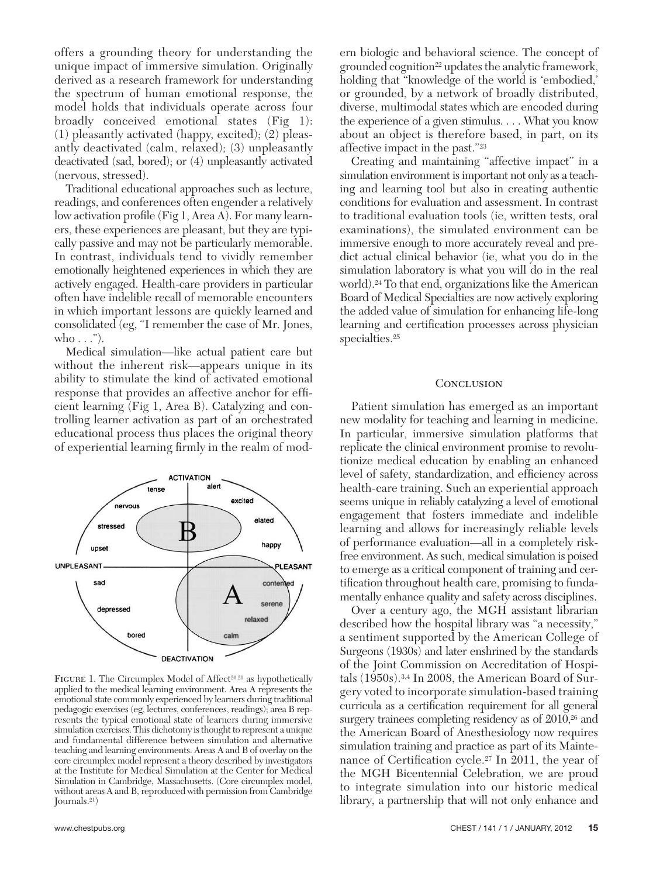offers a grounding theory for understanding the unique impact of immersive simulation. Originally derived as a research framework for understanding the spectrum of human emotional response, the model holds that individuals operate across four broadly conceived emotional states (Fig 1): (1) pleasantly activated (happy, excited); (2) pleasantly deactivated (calm, relaxed); (3) unpleasantly deactivated (sad, bored); or (4) unpleasantly activated (nervous, stressed).

 Traditional educational approaches such as lecture, readings, and conferences often engender a relatively low activation profile (Fig 1, Area A). For many learners, these experiences are pleasant, but they are typically passive and may not be particularly memorable. In contrast, individuals tend to vividly remember emotionally heightened experiences in which they are actively engaged. Health-care providers in particular often have indelible recall of memorable encounters in which important lessons are quickly learned and consolidated (eg, "I remember the case of Mr. Jones, who  $\dots$ ").

 Medical simulation—like actual patient care but without the inherent risk—appears unique in its ability to stimulate the kind of activated emotional response that provides an affective anchor for efficient learning (Fig 1, Area B). Catalyzing and controlling learner activation as part of an orchestrated educational process thus places the original theory of experiential learning firmly in the realm of mod-



FIGURE 1. The Circumplex Model of Affect<sup>20,21</sup> as hypothetically applied to the medical learning environment. Area A represents the emotional state commonly experienced by learners during traditional pedagogic exercises (eg, lectures, conferences, readings); area B represents the typical emotional state of learners during immersive simulation exercises. This dichotomy is thought to represent a unique and fundamental difference between simulation and alternative teaching and learning environments. Areas A and B of overlay on the core circumplex model represent a theory described by investigators at the Institute for Medical Simulation at the Center for Medical Simulation in Cambridge, Massachusetts. (Core circumplex model, without areas A and B, reproduced with permission from Cambridge Journals. 21 )

ern biologic and behavioral science. The concept of grounded cognition 22 updates the analytic framework, holding that "knowledge of the world is 'embodied,' or grounded, by a network of broadly distributed, diverse, multimodal states which are encoded during the experience of a given stimulus. . . . What you know about an object is therefore based, in part, on its affective impact in the past."<sup>23</sup>

 Creating and maintaining "affective impact" in a simulation environment is important not only as a teaching and learning tool but also in creating authentic conditions for evaluation and assessment. In contrast to traditional evaluation tools (ie, written tests, oral examinations), the simulated environment can be immersive enough to more accurately reveal and predict actual clinical behavior (ie, what you do in the simulation laboratory is what you will do in the real world). 24 To that end, organizations like the American Board of Medical Specialties are now actively exploring the added value of simulation for enhancing life-long learning and certification processes across physician specialties. <sup>25</sup>

#### **CONCLUSION**

 Patient simulation has emerged as an important new modality for teaching and learning in medicine. In particular, immersive simulation platforms that replicate the clinical environment promise to revolutionize medical education by enabling an enhanced level of safety, standardization, and efficiency across health-care training. Such an experiential approach seems unique in reliably catalyzing a level of emotional engagement that fosters immediate and indelible learning and allows for increasingly reliable levels of performance evaluation—all in a completely riskfree environment. As such, medical simulation is poised to emerge as a critical component of training and certification throughout health care, promising to fundamentally enhance quality and safety across disciplines.

 Over a century ago, the MGH assistant librarian described how the hospital library was "a necessity," a sentiment supported by the American College of Surgeons (1930s) and later enshrined by the standards of the Joint Commission on Accreditation of Hospitals (1950s). 3,4 In 2008, the American Board of Surgery voted to incorporate simulation-based training curricula as a certification requirement for all general surgery trainees completing residency as of 2010,<sup>26</sup> and the American Board of Anesthesiology now requires simulation training and practice as part of its Maintenance of Certification cycle.<sup>27</sup> In 2011, the year of the MGH Bicentennial Celebration, we are proud to integrate simulation into our historic medical library, a partnership that will not only enhance and